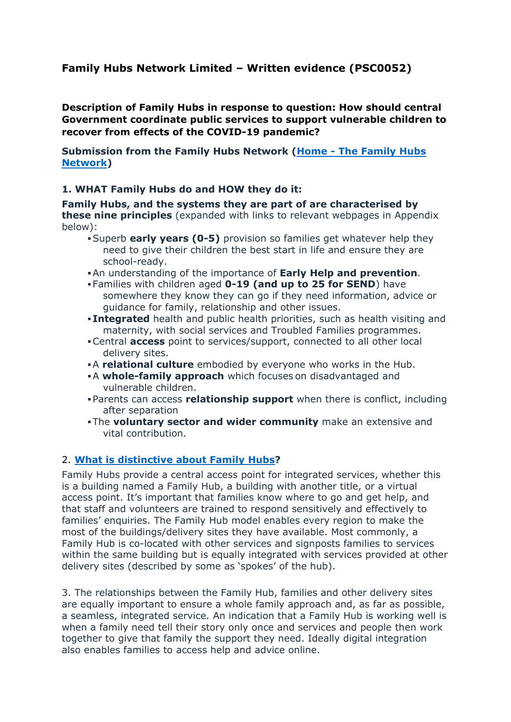# **Family Hubs Network Limited – Written evidence (PSC0052)**

**Description of Family Hubs in response to question: How should central Government coordinate public services to support vulnerable children to recover from effects of the COVID-19 pandemic?**

**Submission from the Family Hubs Network ([Home](https://familyhubsnetwork.com/) [-](https://familyhubsnetwork.com/) [The](https://familyhubsnetwork.com/) [Family](https://familyhubsnetwork.com/) [Hubs](https://familyhubsnetwork.com/) [Network\)](https://familyhubsnetwork.com/)**

#### **1. WHAT Family Hubs do and HOW they do it:**

**Family Hubs, and the systems they are part of are characterised by these nine principles** (expanded with links to relevant webpages in Appendix below):

- Superb **early years (0-5)** provision so families get whatever help they need to give their children the best start in life and ensure they are school-ready.
- An understanding of the importance of **Early Help and prevention**.
- Families with children aged **0-19 (and up to 25 for SEND**) have somewhere they know they can go if they need information, advice or guidance for family, relationship and other issues.
- **Integrated** health and public health priorities, such as health visiting and maternity, with social services and Troubled Families programmes.
- Central **access** point to services/support, connected to all other local delivery sites.
- A **relational culture** embodied by everyone who works in the Hub.
- A **whole-family approach** which focuses on disadvantaged and vulnerable children.
- Parents can access **relationship support** when there is conflict, including after separation
- The **voluntary sector and wider community** make an extensive and vital contribution.

## 2. **[What](https://familyhubsnetwork.com/hubs/introducing-family-hubs/) [is](https://familyhubsnetwork.com/hubs/introducing-family-hubs/) [distinctive](https://familyhubsnetwork.com/hubs/introducing-family-hubs/) [about](https://familyhubsnetwork.com/hubs/introducing-family-hubs/) [Family](https://familyhubsnetwork.com/hubs/introducing-family-hubs/) [Hubs](https://familyhubsnetwork.com/hubs/introducing-family-hubs/)?**

Family Hubs provide a central access point for integrated services, whether this is a building named a Family Hub, a building with another title, or a virtual access point. It's important that families know where to go and get help, and that staff and volunteers are trained to respond sensitively and effectively to families' enquiries. The Family Hub model enables every region to make the most of the buildings/delivery sites they have available. Most commonly, a Family Hub is co-located with other services and signposts families to services within the same building but is equally integrated with services provided at other delivery sites (described by some as 'spokes' of the hub).

3. The relationships between the Family Hub, families and other delivery sites are equally important to ensure a whole family approach and, as far as possible, a seamless, integrated service. An indication that a Family Hub is working well is when a family need tell their story only once and services and people then work together to give that family the support they need. Ideally digital integration also enables families to access help and advice online.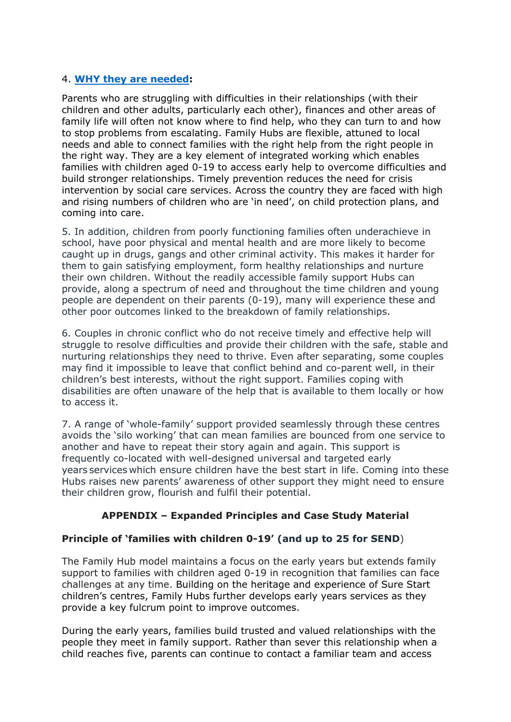## 4. **[WHY](https://familyhubsnetwork.com/hubs/the-need-for-family-hubs/) [they](https://familyhubsnetwork.com/hubs/the-need-for-family-hubs/) [are](https://familyhubsnetwork.com/hubs/the-need-for-family-hubs/) [needed](https://familyhubsnetwork.com/hubs/the-need-for-family-hubs/):**

Parents who are struggling with difficulties in their relationships (with their children and other adults, particularly each other), finances and other areas of family life will often not know where to find help, who they can turn to and how to stop problems from escalating. Family Hubs are flexible, attuned to local needs and able to connect families with the right help from the right people in the right way. They are a key element of integrated working which enables families with children aged 0-19 to access early help to overcome difficulties and build stronger relationships. Timely prevention reduces the need for crisis intervention by social care services. Across the country they are faced with high and rising numbers of children who are 'in need', on child protection plans, and coming into care.

5. In addition, children from poorly functioning families often underachieve in school, have poor physical and mental health and are more likely to become caught up in drugs, gangs and other criminal activity. This makes it harder for them to gain satisfying employment, form healthy relationships and nurture their own children. Without the readily accessible family support Hubs can provide, along a spectrum of need and throughout the time children and young people are dependent on their parents (0-19), many will experience these and other poor outcomes linked to the breakdown of family relationships.

6. Couples in chronic conflict who do not receive timely and effective help will struggle to resolve difficulties and provide their children with the safe, stable and nurturing relationships they need to thrive. Even after separating, some couples may find it impossible to leave that conflict behind and co-parent well, in their children's best interests, without the right support. Families coping with disabilities are often unaware of the help that is available to them locally or how to access it.

7. A range of 'whole-family' support provided seamlessly through these centres avoids the 'silo working' that can mean families are bounced from one service to another and have to repeat their story again and again. This support is frequently co-located with well-designed universal and targeted early years services which ensure children have the best start in life. Coming into these Hubs raises new parents' awareness of other support they might need to ensure their children grow, flourish and fulfil their potential.

## **APPENDIX – Expanded Principles and Case Study Material**

## **Principle of 'families with children 0-19' (and up to 25 for SEND**)

The Family Hub model maintains a focus on the early years but extends family support to families with children aged 0-19 in recognition that families can face challenges at any time. Building on the heritage and experience of Sure Start children's centres, Family Hubs further develops early years services as they provide a key fulcrum point to improve outcomes.

During the early years, families build trusted and valued relationships with the people they meet in family support. Rather than sever this relationship when a child reaches five, parents can continue to contact a familiar team and access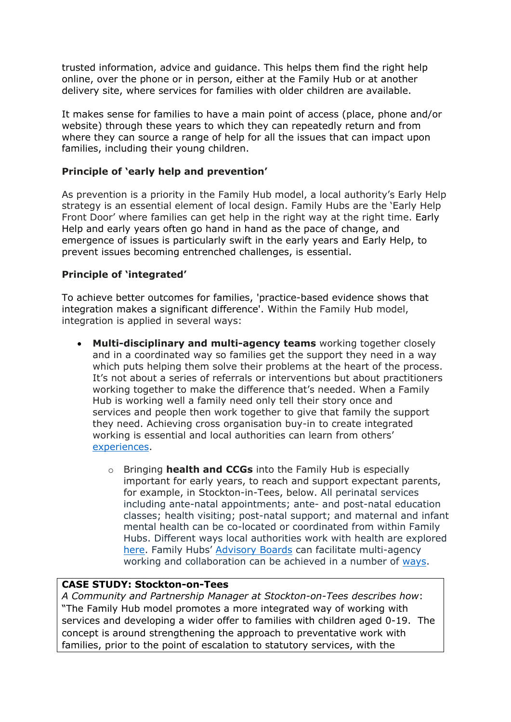trusted information, advice and guidance. This helps them find the right help online, over the phone or in person, either at the Family Hub or at another delivery site, where services for families with older children are available.

It makes sense for families to have a main point of access (place, phone and/or website) through these years to which they can repeatedly return and from where they can source a range of help for all the issues that can impact upon families, including their young children.

## **Principle of 'early help and prevention'**

As prevention is a priority in the Family Hub model, a local authority's Early Help strategy is an essential element of local design. Family Hubs are the 'Early Help Front Door' where families can get help in the right way at the right time. Early Help and early years often go hand in hand as the pace of change, and emergence of issues is particularly swift in the early years and Early Help, to prevent issues becoming entrenched challenges, is essential.

## **Principle of 'integrated'**

To achieve better outcomes for families, 'practice-based evidence shows that integration makes a significant difference'. Within the Family Hub model, integration is applied in several ways:

- **Multi-disciplinary and multi-agency teams** working together closely and in a coordinated way so families get the support they need in a way which puts helping them solve their problems at the heart of the process. It's not about a series of referrals or interventions but about practitioners working together to make the difference that's needed. When a Family Hub is working well a family need only tell their story once and services and people then work together to give that family the support they need. Achieving cross organisation buy-in to create integrated working is essential and local authorities can learn from others' [experiences.](https://familyhubsnetwork.org.uk/knowledge-base/#knowledgebase_integration_3)
	- o Bringing **health and CCGs** into the Family Hub is especially important for early years, to reach and support expectant parents, for example, in Stockton-in-Tees, below. All perinatal services including ante-natal appointments; ante- and post-natal education classes; health visiting; post-natal support; and maternal and infant mental health can be co-located or coordinated from within Family Hubs. Different ways local authorities work with health are explored [here.](https://familyhubsnetwork.org.uk/knowledge-base/#knowledgebase_integration_6) Family Hubs' [Advisory](https://familyhubsnetwork.org.uk/knowledge-base/#knowledgebase_integration_8) [Boards](https://familyhubsnetwork.org.uk/knowledge-base/#knowledgebase_integration_8) can facilitate multi-agency working and collaboration can be achieved in a number of [ways.](https://familyhubsnetwork.org.uk/knowledge-base/#knowledgebase_integration_5)

## **CASE STUDY: Stockton-on-Tees**

*A Community and Partnership Manager at Stockton-on-Tees describes how*: "The Family Hub model promotes a more integrated way of working with services and developing a wider offer to families with children aged 0-19. The concept is around strengthening the approach to preventative work with families, prior to the point of escalation to statutory services, with the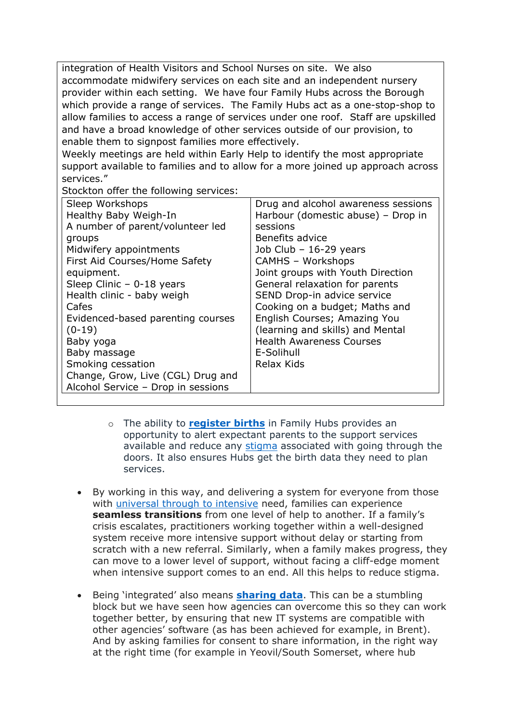integration of Health Visitors and School Nurses on site. We also accommodate midwifery services on each site and an independent nursery provider within each setting. We have four Family Hubs across the Borough which provide a range of services. The Family Hubs act as a one-stop-shop to allow families to access a range of services under one roof. Staff are upskilled and have a broad knowledge of other services outside of our provision, to enable them to signpost families more effectively.

Weekly meetings are held within Early Help to identify the most appropriate support available to families and to allow for a more joined up approach across services."

Stockton offer the following services:

| Sleep Workshops                    | Drug and alcohol awareness sessions |
|------------------------------------|-------------------------------------|
| Healthy Baby Weigh-In              | Harbour (domestic abuse) - Drop in  |
| A number of parent/volunteer led   | sessions                            |
| groups                             | Benefits advice                     |
| Midwifery appointments             | Job Club $-$ 16-29 years            |
| First Aid Courses/Home Safety      | <b>CAMHS - Workshops</b>            |
| equipment.                         | Joint groups with Youth Direction   |
| Sleep Clinic $-0-18$ years         | General relaxation for parents      |
| Health clinic - baby weigh         | SEND Drop-in advice service         |
| Cafes                              | Cooking on a budget; Maths and      |
| Evidenced-based parenting courses  | English Courses; Amazing You        |
| $(0-19)$                           | (learning and skills) and Mental    |
| Baby yoga                          | <b>Health Awareness Courses</b>     |
| Baby massage                       | E-Solihull                          |
| Smoking cessation                  | Relax Kids                          |
| Change, Grow, Live (CGL) Drug and  |                                     |
| Alcohol Service - Drop in sessions |                                     |
|                                    |                                     |

- o The ability to **[register](https://familyhubsnetwork.org.uk/knowledge-base/#knowledgebase_buildings_3) [births](https://familyhubsnetwork.org.uk/knowledge-base/#knowledgebase_buildings_3)** in Family Hubs provides an opportunity to alert expectant parents to the support services available and reduce any [stigma](https://familyhubsnetwork.org.uk/knowledge-base/#knowledgebase_reaching_families_reducing_stigma_1) associated with going through the doors. It also ensures Hubs get the birth data they need to plan services.
- By working in this way, and delivering a system for everyone from those with [universal](https://familyhubsnetwork.org.uk/knowledge-base/#knowledgebase_reaching_families_reducing_stigma_2) [through](https://familyhubsnetwork.org.uk/knowledge-base/#knowledgebase_reaching_families_reducing_stigma_2) [to](https://familyhubsnetwork.org.uk/knowledge-base/#knowledgebase_reaching_families_reducing_stigma_2) [intensive](https://familyhubsnetwork.org.uk/knowledge-base/#knowledgebase_reaching_families_reducing_stigma_2) need, families can experience **seamless transitions** from one level of help to another. If a family's crisis escalates, practitioners working together within a well-designed system receive more intensive support without delay or starting from scratch with a new referral. Similarly, when a family makes progress, they can move to a lower level of support, without facing a cliff-edge moment when intensive support comes to an end. All this helps to reduce stigma.
- Being 'integrated' also means **[sharing](https://familyhubsnetwork.org.uk/knowledge-base/#knowledgebase_integration_2) [data](https://familyhubsnetwork.org.uk/knowledge-base/#knowledgebase_integration_2)**. This can be a stumbling block but we have seen how agencies can overcome this so they can work together better, by ensuring that new IT systems are compatible with other agencies' software (as has been achieved for example, in Brent). And by asking families for consent to share information, in the right way at the right time (for example in Yeovil/South Somerset, where hub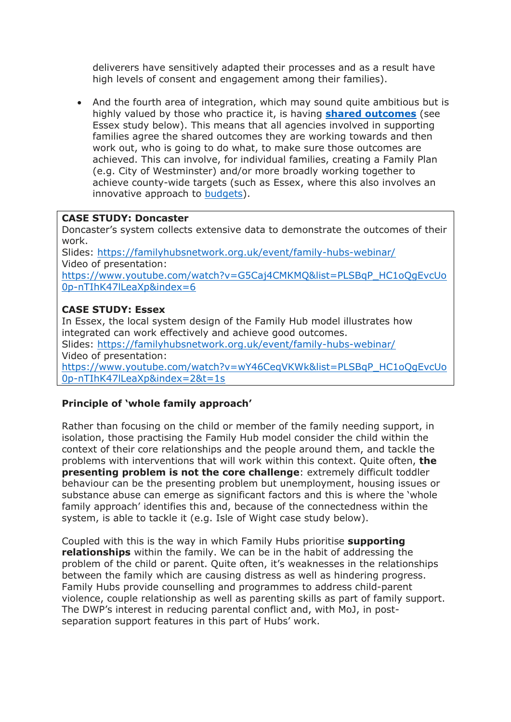deliverers have sensitively adapted their processes and as a result have high levels of consent and engagement among their families).

 And the fourth area of integration, which may sound quite ambitious but is highly valued by those who practice it, is having **[shared](https://familyhubsnetwork.org.uk/knowledge-base/#knowledgebase_integration_5) [outcomes](https://familyhubsnetwork.org.uk/knowledge-base/#knowledgebase_integration_5)** (see Essex study below). This means that all agencies involved in supporting families agree the shared outcomes they are working towards and then work out, who is going to do what, to make sure those outcomes are achieved. This can involve, for individual families, creating a Family Plan (e.g. City of Westminster) and/or more broadly working together to achieve county-wide targets (such as Essex, where this also involves an innovative approach to [budgets\)](https://familyhubsnetwork.org.uk/knowledge-base/#knowledgebase_integration_1).

#### **CASE STUDY: Doncaster**

Doncaster's system collects extensive data to demonstrate the outcomes of their work.

Slides: <https://familyhubsnetwork.org.uk/event/family-hubs-webinar/> Video of presentation:

[https://www.youtube.com/watch?v=G5Caj4CMKMQ&list=PLSBqP\\_HC1oQgEvcUo](https://www.youtube.com/watch?v=G5Caj4CMKMQ&list=PLSBqP_HC1oQgEvcUo0p-nTIhK47lLeaXp&index=6) [0p-nTIhK47lLeaXp&index=6](https://www.youtube.com/watch?v=G5Caj4CMKMQ&list=PLSBqP_HC1oQgEvcUo0p-nTIhK47lLeaXp&index=6)

## **CASE STUDY: Essex**

In Essex, the local system design of the Family Hub model illustrates how integrated can work effectively and achieve good outcomes. Slides: <https://familyhubsnetwork.org.uk/event/family-hubs-webinar/> Video of presentation: [https://www.youtube.com/watch?v=wY46CeqVKWk&list=PLSBqP\\_HC1oQgEvcUo](https://www.youtube.com/watch?v=wY46CeqVKWk&list=PLSBqP_HC1oQgEvcUo0p-nTIhK47lLeaXp&index=2&t=1s) [0p-nTIhK47lLeaXp&index=2&t=1s](https://www.youtube.com/watch?v=wY46CeqVKWk&list=PLSBqP_HC1oQgEvcUo0p-nTIhK47lLeaXp&index=2&t=1s)

## **Principle of 'whole family approach'**

Rather than focusing on the child or member of the family needing support, in isolation, those practising the Family Hub model consider the child within the context of their core relationships and the people around them, and tackle the problems with interventions that will work within this context. Quite often, **the presenting problem is not the core challenge**: extremely difficult toddler behaviour can be the presenting problem but unemployment, housing issues or substance abuse can emerge as significant factors and this is where the 'whole family approach' identifies this and, because of the connectedness within the system, is able to tackle it (e.g. Isle of Wight case study below).

Coupled with this is the way in which Family Hubs prioritise **supporting relationships** within the family. We can be in the habit of addressing the problem of the child or parent. Quite often, it's weaknesses in the relationships between the family which are causing distress as well as hindering progress. Family Hubs provide counselling and programmes to address child-parent violence, couple relationship as well as parenting skills as part of family support. The DWP's interest in reducing parental conflict and, with MoJ, in postseparation support features in this part of Hubs' work.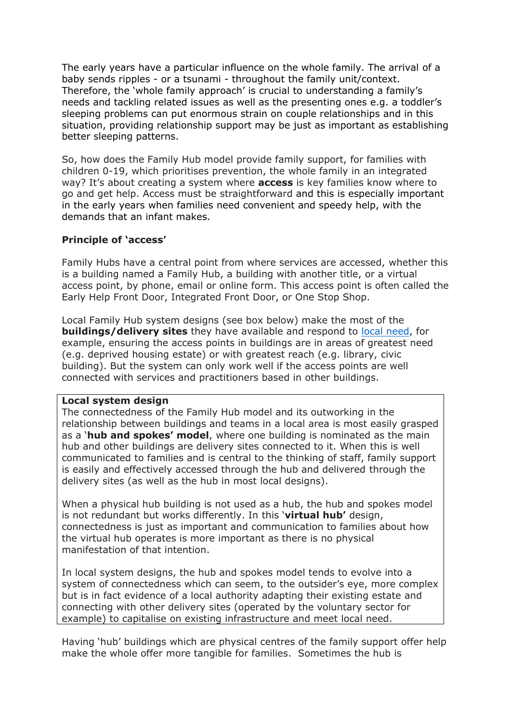The early years have a particular influence on the whole family. The arrival of a baby sends ripples - or a tsunami - throughout the family unit/context. Therefore, the 'whole family approach' is crucial to understanding a family's needs and tackling related issues as well as the presenting ones e.g. a toddler's sleeping problems can put enormous strain on couple relationships and in this situation, providing relationship support may be just as important as establishing better sleeping patterns.

So, how does the Family Hub model provide family support, for families with children 0-19, which prioritises prevention, the whole family in an integrated way? It's about creating a system where **access** is key families know where to go and get help. Access must be straightforward and this is especially important in the early years when families need convenient and speedy help, with the demands that an infant makes.

## **Principle of 'access'**

Family Hubs have a central point from where services are accessed, whether this is a building named a Family Hub, a building with another title, or a virtual access point, by phone, email or online form. This access point is often called the Early Help Front Door, Integrated Front Door, or One Stop Shop.

Local Family Hub system designs (see box below) make the most of the **buildings/delivery sites** they have available and respond to [local](https://familyhubsnetwork.org.uk/knowledge-base/#knowledgebase_buildings_1) [need](https://familyhubsnetwork.org.uk/knowledge-base/#knowledgebase_buildings_1), for example, ensuring the access points in buildings are in areas of greatest need (e.g. deprived housing estate) or with greatest reach (e.g. library, civic building). But the system can only work well if the access points are well connected with services and practitioners based in other buildings.

## **Local system design**

The connectedness of the Family Hub model and its outworking in the relationship between buildings and teams in a local area is most easily grasped as a '**hub and spokes' model**, where one building is nominated as the main hub and other buildings are delivery sites connected to it. When this is well communicated to families and is central to the thinking of staff, family support is easily and effectively accessed through the hub and delivered through the delivery sites (as well as the hub in most local designs).

When a physical hub building is not used as a hub, the hub and spokes model is not redundant but works differently. In this '**virtual hub'** design, connectedness is just as important and communication to families about how the virtual hub operates is more important as there is no physical manifestation of that intention.

In local system designs, the hub and spokes model tends to evolve into a system of connectedness which can seem, to the outsider's eye, more complex but is in fact evidence of a local authority adapting their existing estate and connecting with other delivery sites (operated by the voluntary sector for example) to capitalise on existing infrastructure and meet local need.

Having 'hub' buildings which are physical centres of the family support offer help make the whole offer more tangible for families. Sometimes the hub is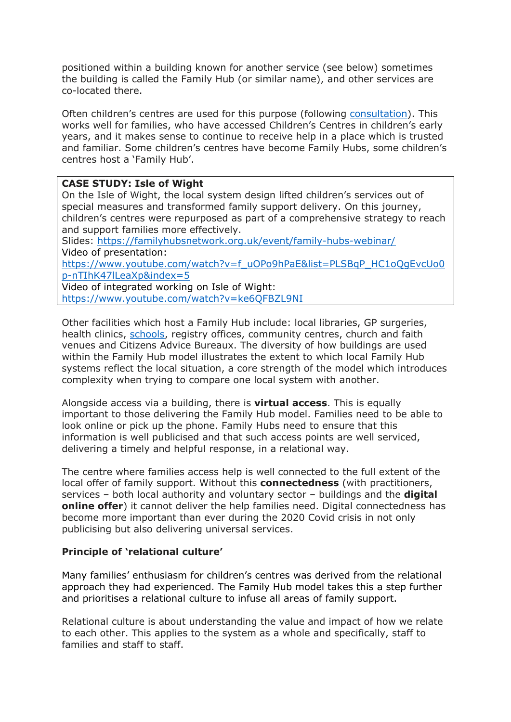positioned within a building known for another service (see below) sometimes the building is called the Family Hub (or similar name), and other services are co-located there.

Often children's centres are used for this purpose (following [consultation\)](https://familyhubsnetwork.org.uk/knowledge-base/#knowledgebase_buildings_4). This works well for families, who have accessed Children's Centres in children's early years, and it makes sense to continue to receive help in a place which is trusted and familiar. Some children's centres have become Family Hubs, some children's centres host a 'Family Hub'.

## **CASE STUDY: Isle of Wight**

On the Isle of Wight, the local system design lifted children's services out of special measures and transformed family support delivery. On this journey, children's centres were repurposed as part of a comprehensive strategy to reach and support families more effectively.

Slides: <https://familyhubsnetwork.org.uk/event/family-hubs-webinar/> Video of presentation:

[https://www.youtube.com/watch?v=f\\_uOPo9hPaE&list=PLSBqP\\_HC1oQgEvcUo0](https://www.youtube.com/watch?v=f_uOPo9hPaE&list=PLSBqP_HC1oQgEvcUo0p-nTIhK47lLeaXp&index=5) [p-nTIhK47lLeaXp&index=5](https://www.youtube.com/watch?v=f_uOPo9hPaE&list=PLSBqP_HC1oQgEvcUo0p-nTIhK47lLeaXp&index=5)

Video of integrated working on Isle of Wight: <https://www.youtube.com/watch?v=ke6QFBZL9NI>

Other facilities which host a Family Hub include: local libraries, GP surgeries, health clinics, [schools,](https://familyhubsnetwork.org.uk/knowledge-base/#knowledgebase_schools_1) registry offices, community centres, church and faith venues and Citizens Advice Bureaux. The diversity of how buildings are used within the Family Hub model illustrates the extent to which local Family Hub systems reflect the local situation, a core strength of the model which introduces complexity when trying to compare one local system with another.

Alongside access via a building, there is **virtual access**. This is equally important to those delivering the Family Hub model. Families need to be able to look online or pick up the phone. Family Hubs need to ensure that this information is well publicised and that such access points are well serviced, delivering a timely and helpful response, in a relational way.

The centre where families access help is well connected to the full extent of the local offer of family support. Without this **connectedness** (with practitioners, services – both local authority and voluntary sector – buildings and the **digital online offer**) it cannot deliver the help families need. Digital connectedness has become more important than ever during the 2020 Covid crisis in not only publicising but also delivering universal services.

## **Principle of 'relational culture'**

Many families' enthusiasm for children's centres was derived from the relational approach they had experienced. The Family Hub model takes this a step further and prioritises a relational culture to infuse all areas of family support.

Relational culture is about understanding the value and impact of how we relate to each other. This applies to the system as a whole and specifically, staff to families and staff to staff.